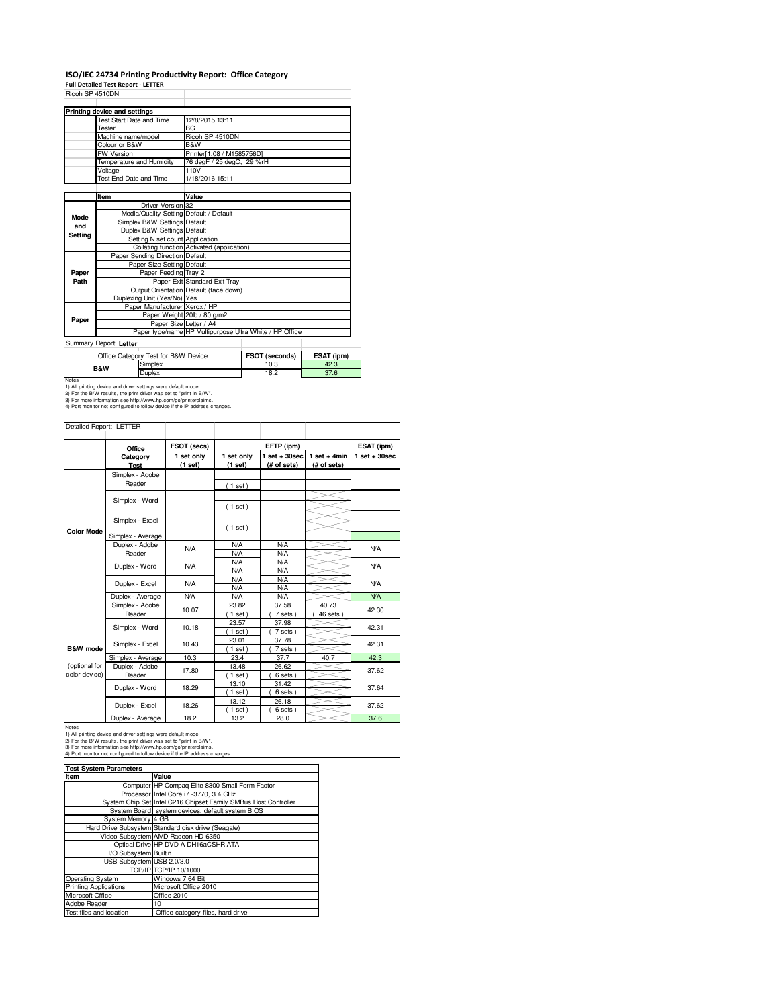## **ISO/IEC 24734 Printing Productivity Report: Office Category**

**Full Detailed Test Report - LETTER**

| Ricoh SP 4510DN |                                                                                                                                    |                                            |                                                         |            |  |  |
|-----------------|------------------------------------------------------------------------------------------------------------------------------------|--------------------------------------------|---------------------------------------------------------|------------|--|--|
|                 |                                                                                                                                    |                                            |                                                         |            |  |  |
|                 | Printing device and settings                                                                                                       |                                            |                                                         |            |  |  |
|                 | Test Start Date and Time<br>Tester                                                                                                 | 12/8/2015 13:11<br><b>BG</b>               |                                                         |            |  |  |
|                 |                                                                                                                                    |                                            |                                                         |            |  |  |
|                 | Machine name/model                                                                                                                 | Ricoh SP 4510DN                            |                                                         |            |  |  |
|                 | Colour or B&W                                                                                                                      | B&W                                        |                                                         |            |  |  |
|                 | <b>FW Version</b>                                                                                                                  | Printer[1.08 / M1585756D]                  |                                                         |            |  |  |
|                 | Temperature and Humidity                                                                                                           | 76 degF / 25 degC, 29 %rH                  |                                                         |            |  |  |
|                 | Voltage                                                                                                                            | 110V                                       |                                                         |            |  |  |
|                 | Test End Date and Time                                                                                                             | 1/18/2016 15:11                            |                                                         |            |  |  |
|                 |                                                                                                                                    |                                            |                                                         |            |  |  |
|                 | Item                                                                                                                               | Value                                      |                                                         |            |  |  |
|                 | Driver Version 32                                                                                                                  |                                            |                                                         |            |  |  |
| Mode            |                                                                                                                                    | Media/Quality Setting Default / Default    |                                                         |            |  |  |
| and             | Simplex B&W Settings Default                                                                                                       |                                            |                                                         |            |  |  |
| Setting         | Duplex B&W Settings Default                                                                                                        |                                            |                                                         |            |  |  |
|                 | Setting N set count Application                                                                                                    |                                            |                                                         |            |  |  |
|                 |                                                                                                                                    | Collating function Activated (application) |                                                         |            |  |  |
|                 | Paper Sending Direction Default                                                                                                    |                                            |                                                         |            |  |  |
|                 | Paper Size Setting Default                                                                                                         |                                            |                                                         |            |  |  |
| Paper           | Paper Feeding Tray 2                                                                                                               |                                            |                                                         |            |  |  |
| Path            |                                                                                                                                    | Paper Exit Standard Exit Tray              |                                                         |            |  |  |
|                 |                                                                                                                                    | Output Orientation Default (face down)     |                                                         |            |  |  |
|                 | Duplexing Unit (Yes/No) Yes                                                                                                        |                                            |                                                         |            |  |  |
|                 | Paper Manufacturer Xerox / HP                                                                                                      |                                            |                                                         |            |  |  |
| Paper           |                                                                                                                                    | Paper Weight 20lb / 80 g/m2                |                                                         |            |  |  |
|                 |                                                                                                                                    | Paper Size Letter / A4                     |                                                         |            |  |  |
|                 |                                                                                                                                    |                                            | Paper type/name HP Multipurpose Ultra White / HP Office |            |  |  |
|                 | Summary Report: Letter                                                                                                             |                                            |                                                         |            |  |  |
|                 | Office Category Test for B&W Device                                                                                                |                                            | FSOT (seconds)                                          | ESAT (ipm) |  |  |
|                 | Simplex                                                                                                                            |                                            | 10.3                                                    | 42.3       |  |  |
|                 | <b>B&amp;W</b><br>Duplex                                                                                                           |                                            | 18.2                                                    | 37.6       |  |  |
| <b>Notes</b>    |                                                                                                                                    |                                            |                                                         |            |  |  |
|                 | 1) All printing device and driver settings were default mode.<br>0) Eastha DAM seculta, the print drive uses out to "print in DAM" |                                            |                                                         |            |  |  |

1) All printing device and driver settings were default mode.<br>2) For the B/W results, the print driver was set to "print in B/W".<br>3) For more information see http://www.hp.com/go/printerclaims.<br>4) Port monitor not configur

| Detailed Report: LETTER        |                            |                       |                          |                                                |                               |                  |
|--------------------------------|----------------------------|-----------------------|--------------------------|------------------------------------------------|-------------------------------|------------------|
|                                |                            | FSOT (secs)           |                          | ESAT (ipm)                                     |                               |                  |
|                                | Office<br>Category<br>Test | 1 set only<br>(1 set) | 1 set only<br>(1 set)    | EFTP (ipm)<br>$1$ set $+30$ sec<br>(# of sets) | $1$ set + 4min<br>(# of sets) | $1 set + 30 sec$ |
|                                | Simplex - Adobe<br>Reader  |                       | (1 set)                  |                                                |                               |                  |
|                                | Simplex - Word             |                       | $1$ set)                 |                                                |                               |                  |
|                                | Simplex - Excel            |                       | $1$ set)                 |                                                |                               |                  |
| <b>Color Mode</b>              | Simplex - Average          |                       |                          |                                                |                               |                  |
|                                | Duplex - Adobe<br>Reader   | <b>N/A</b>            | N/A<br>N/A               | N/A<br><b>N/A</b>                              |                               | N/A              |
|                                | Duplex - Word              | <b>N/A</b>            | <b>N/A</b><br>N/A        | N/A<br><b>N/A</b>                              |                               | N/A              |
|                                | Duplex - Excel             | <b>N/A</b>            | <b>N/A</b><br><b>N/A</b> | <b>N/A</b><br><b>N/A</b>                       |                               | N/A              |
|                                | Duplex - Average           | N/A                   | N/A                      | N/A                                            |                               | N/A              |
|                                | Simplex - Adobe<br>Reader  | 10.07                 | 23.82<br>$1$ set)        | 37.58<br>7 sets)                               | 40.73<br>46 sets              | 42.30            |
|                                | Simplex - Word             | 10.18                 | 23.57<br>$1$ set)        | 37.98<br>7 sets)                               |                               | 42.31            |
| <b>B&amp;W</b> mode            | Simplex - Excel            | 10.43                 | 23.01<br>$1$ set)        | 37.78<br>7 sets)                               |                               | 42.31            |
|                                | Simplex - Average          | 10.3                  | 23.4                     | 37.7                                           | 40.7                          | 42.3             |
| (optional for<br>color device) | Duplex - Adobe<br>Reader   | 17.80                 | 13.48<br>$1$ set)        | 26.62<br>6 sets)                               |                               | 37.62            |
|                                | Duplex - Word              | 18.29                 | 13.10<br>$1$ set)        | 31.42<br>6 sets)                               |                               | 37.64            |
|                                | Duplex - Excel             | 18.26                 | 13.12<br>$1$ set)        | 26.18<br>6 sets)                               |                               | 37.62            |
|                                | Dualett Atasana            | 10 <sub>0</sub>       | 100                      | 000                                            |                               | 27c              |

Notes<br>
19.2 Duplex - Average 18.2 13.2 28.0 37.6<br>
1) All printing device and driver settings were default mode.<br>
2) For the BAV results, the print driver was set to "print in BAV".<br>
3) For more information see http://www

|  | <b>Test System Parameters</b> |
|--|-------------------------------|
|  |                               |

| rest System Parameters       |                                                                 |  |  |  |
|------------------------------|-----------------------------------------------------------------|--|--|--|
| Item                         | Value                                                           |  |  |  |
|                              | Computer HP Compag Elite 8300 Small Form Factor                 |  |  |  |
|                              | Processor Intel Core i7 -3770, 3.4 GHz                          |  |  |  |
|                              | System Chip Set Intel C216 Chipset Family SMBus Host Controller |  |  |  |
|                              | System Board system devices, default system BIOS                |  |  |  |
| System Memory 4 GB           |                                                                 |  |  |  |
|                              | Hard Drive Subsystem Standard disk drive (Seagate)              |  |  |  |
|                              | Video Subsystem AMD Radeon HD 6350                              |  |  |  |
|                              | Optical Drive HP DVD A DH16aCSHR ATA                            |  |  |  |
| I/O Subsystem Builtin        |                                                                 |  |  |  |
| USB Subsystem USB 2.0/3.0    |                                                                 |  |  |  |
|                              | TCP/IP TCP/IP 10/1000                                           |  |  |  |
| <b>Operating System</b>      | Windows 7 64 Bit                                                |  |  |  |
| <b>Printing Applications</b> | Microsoft Office 2010                                           |  |  |  |
| Microsoft Office             | Office 2010                                                     |  |  |  |
| Adobe Reader                 | 10                                                              |  |  |  |
| Test files and location      | Office category files, hard drive                               |  |  |  |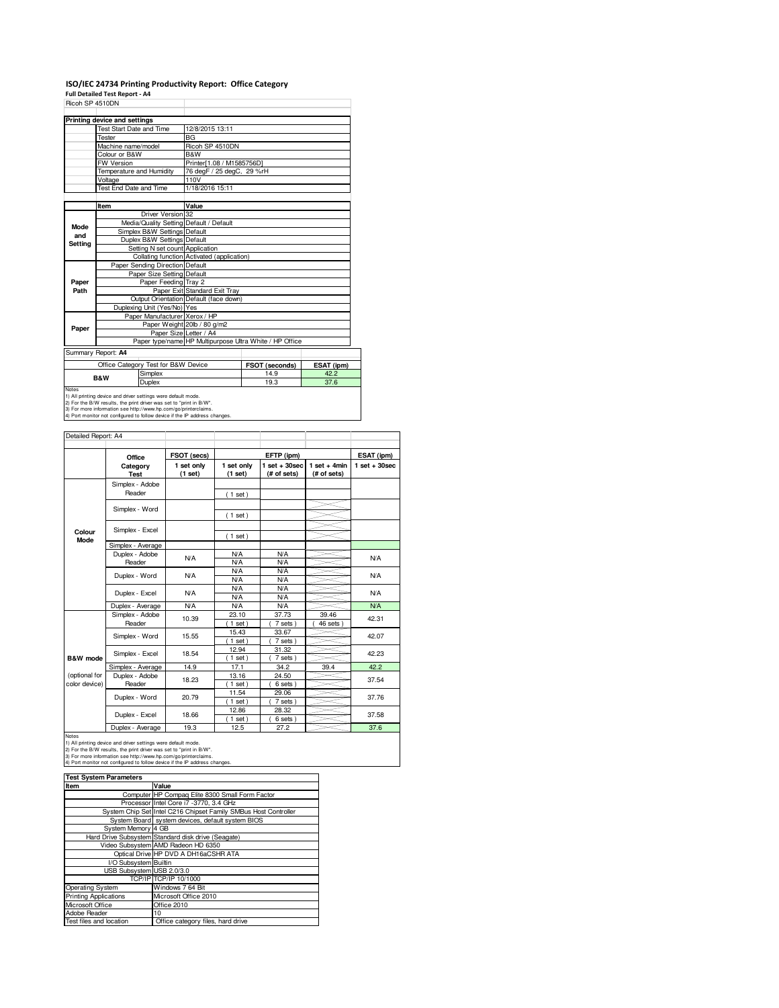## **ISO/IEC 24734 Printing Productivity Report: Office Category Full Detailed Test Report - A4**

| Ricoh SP 4510DN    |                                         |                                                         |  |  |  |  |
|--------------------|-----------------------------------------|---------------------------------------------------------|--|--|--|--|
|                    |                                         |                                                         |  |  |  |  |
|                    | Printing device and settings            |                                                         |  |  |  |  |
|                    | <b>Test Start Date and Time</b>         | 12/8/2015 13:11                                         |  |  |  |  |
|                    | Tester                                  | <b>BG</b>                                               |  |  |  |  |
|                    | Machine name/model                      | Ricoh SP 4510DN                                         |  |  |  |  |
|                    | Colour or B&W                           | B&W                                                     |  |  |  |  |
|                    | <b>FW Version</b>                       | Printer[1.08 / M1585756D]                               |  |  |  |  |
|                    | Temperature and Humidity                | 76 degF / 25 degC, 29 %rH                               |  |  |  |  |
|                    | Voltage                                 | 110V                                                    |  |  |  |  |
|                    | Test End Date and Time                  | 1/18/2016 15:11                                         |  |  |  |  |
|                    |                                         |                                                         |  |  |  |  |
|                    | Item                                    | Value                                                   |  |  |  |  |
| Mode               | Driver Version 32                       |                                                         |  |  |  |  |
|                    | Media/Quality Setting Default / Default |                                                         |  |  |  |  |
| and                | Simplex B&W Settings Default            |                                                         |  |  |  |  |
| Setting            | Duplex B&W Settings Default             |                                                         |  |  |  |  |
|                    | Setting N set count Application         |                                                         |  |  |  |  |
|                    |                                         | Collating function Activated (application)              |  |  |  |  |
|                    | Paper Sending Direction Default         |                                                         |  |  |  |  |
|                    | Paper Size Setting Default              |                                                         |  |  |  |  |
| Paper              | Paper Feeding Tray 2                    |                                                         |  |  |  |  |
| Path               |                                         | Paper Exit Standard Exit Tray                           |  |  |  |  |
|                    |                                         | Output Orientation Default (face down)                  |  |  |  |  |
|                    | Duplexing Unit (Yes/No) Yes             |                                                         |  |  |  |  |
|                    | Paper Manufacturer Xerox / HP           |                                                         |  |  |  |  |
| Paper              |                                         | Paper Weight 20lb / 80 g/m2                             |  |  |  |  |
|                    | Paper Size Letter / A4                  |                                                         |  |  |  |  |
|                    |                                         | Paper type/name HP Multipurpose Ultra White / HP Office |  |  |  |  |
| Summary Report: A4 |                                         |                                                         |  |  |  |  |

**FSOT (seconds) ESAT (ipm)**<br>14.9 **42.2**<br>19.3 **37.6** Office Category Test for B&W Device **FSOT (seconds)** ESAT (i)<br>
Simplex 14.9 42.2 Notes<br>
Notes<br>
19.1 printing device and direct settings were default mode.<br>
2) For the BAW results, the print driver was set to "print in BAW".<br>
2) For the BAW results, the print driver was set to "print in BAW".<br>
4) Por mo **B&W**

| Detailed Report: A4            |                           |                       |                       |                                |                               |                 |
|--------------------------------|---------------------------|-----------------------|-----------------------|--------------------------------|-------------------------------|-----------------|
|                                | Office                    | FSOT (secs)           |                       | EFTP (ipm)                     |                               |                 |
|                                | Category<br><b>Test</b>   | 1 set only<br>(1 set) | 1 set only<br>(1 set) | $1$ set + 30sec<br>(# of sets) | $1$ set + 4min<br>(# of sets) | $1$ set + 30sec |
|                                | Simplex - Adobe<br>Reader |                       | (1 set)               |                                |                               |                 |
|                                | Simplex - Word            |                       |                       |                                |                               |                 |
| Colour                         | Simplex - Excel           |                       | (1 set)               |                                |                               |                 |
| Mode                           | Simplex - Average         |                       | $1$ set)              |                                |                               |                 |
|                                | Duplex - Adobe<br>Reader  | <b>N/A</b>            | N/A<br><b>N/A</b>     | N/A<br>N/A                     |                               | N/A             |
|                                | Duplex - Word             | <b>N/A</b>            | N/A<br>N/A            | N/A<br>N/A                     |                               | N/A             |
|                                | Duplex - Excel            | <b>N/A</b>            | N/A<br>N/A            | <b>N/A</b><br>N/A              |                               | N/A             |
|                                | Duplex - Average          | <b>N/A</b>            | N/A                   | N/A                            |                               | <b>N/A</b>      |
|                                | Simplex - Adobe<br>Reader | 10.39                 | 23.10<br>$1$ set)     | 37.73<br>7 sets                | 39.46<br>46 sets              | 42.31           |
|                                | Simplex - Word            | 15.55                 | 15.43<br>$1$ set)     | 33.67<br>7 sets)               |                               | 42.07           |
| B&W mode                       | Simplex - Excel           | 18.54                 | 12.94<br>$1$ set)     | 31.32<br>7 sets)               |                               | 42.23           |
|                                | Simplex - Average         | 14.9                  | 17.1                  | 34.2                           | 39.4                          | 42.2            |
| (optional for<br>color device) | Duplex - Adobe<br>Reader  | 18.23                 | 13.16<br>$1$ set)     | 24.50<br>6 sets)               |                               | 37.54           |
|                                | Duplex - Word             | 20.79                 | 11.54<br>$1$ set)     | 29.06<br>7 sets)               |                               | 37.76           |
|                                | Duplex - Excel            | 18.66                 | 12.86<br>$1$ set)     | 28.32<br>6 sets                |                               | 37.58           |
|                                | $\overline{\phantom{0}}$  | $\sim$                | $-$                   | $- - -$                        |                               | $- - -$         |

Duplex - Average 19.3 12.5 27.2 37.6<br>
1) All printing device and driver settings were default mode.<br>
2) For the BAW results, the print driver was set to "print in BAW".<br>
3) For more information see http://www.hp.com/go/pr

| <b>Test System Parameters</b> |                                                                 |  |  |  |
|-------------------------------|-----------------------------------------------------------------|--|--|--|
| Item                          | Value                                                           |  |  |  |
|                               | Computer HP Compag Elite 8300 Small Form Factor                 |  |  |  |
|                               | Processor Intel Core i7 -3770, 3.4 GHz                          |  |  |  |
|                               | System Chip Set Intel C216 Chipset Family SMBus Host Controller |  |  |  |
|                               | System Board system devices, default system BIOS                |  |  |  |
| System Memory 4 GB            |                                                                 |  |  |  |
|                               | Hard Drive Subsystem Standard disk drive (Seagate)              |  |  |  |
|                               | Video Subsystem AMD Radeon HD 6350                              |  |  |  |
|                               | Optical Drive HP DVD A DH16aCSHR ATA                            |  |  |  |
| I/O Subsystem Builtin         |                                                                 |  |  |  |
| USB Subsystem USB 2.0/3.0     |                                                                 |  |  |  |
|                               | TCP/IPITCP/IP 10/1000                                           |  |  |  |
| <b>Operating System</b>       | Windows 7 64 Bit                                                |  |  |  |
| <b>Printing Applications</b>  | Microsoft Office 2010                                           |  |  |  |
| Microsoft Office              | Office 2010                                                     |  |  |  |
| Adobe Reader                  | 10                                                              |  |  |  |
| Test files and location       | Office category files, hard drive                               |  |  |  |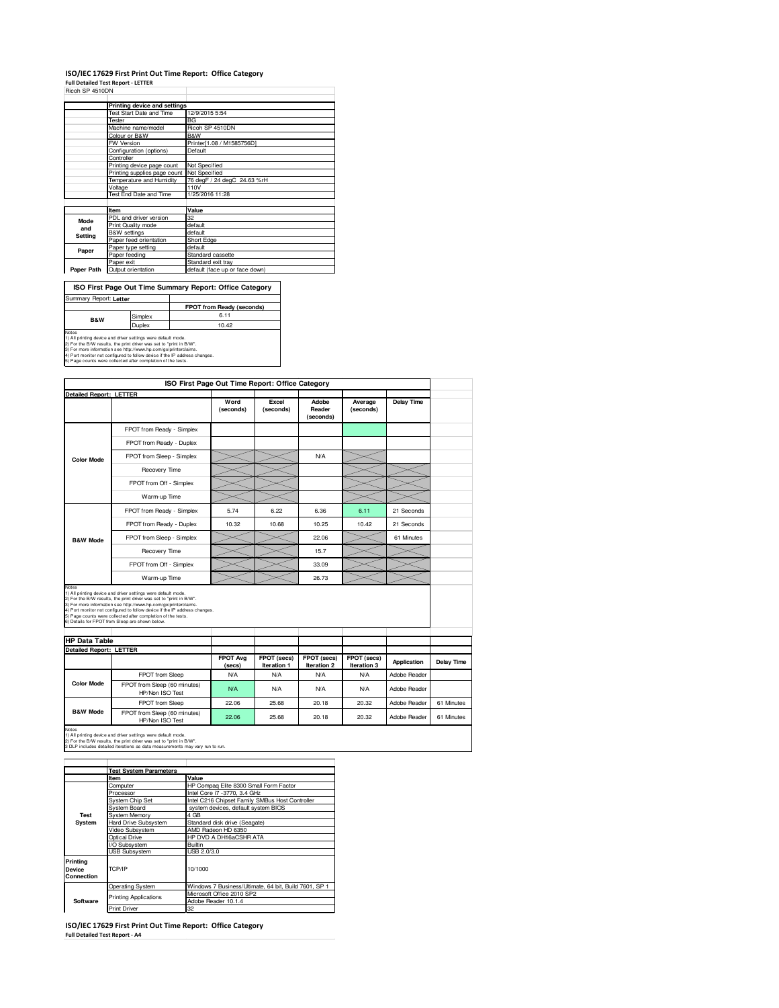## **ISO/IEC 17629 First Print Out Time Report: Office Category**

**Full Detailed Test Report - LETTER** Ricoh SP 4510DN

| RICON SP 45 IUDN |                                 |                                |  |  |  |
|------------------|---------------------------------|--------------------------------|--|--|--|
|                  | Printing device and settings    |                                |  |  |  |
|                  | <b>Test Start Date and Time</b> | 12/9/2015 5:54                 |  |  |  |
|                  | Tester                          | BG                             |  |  |  |
|                  | Machine name/model              | Ricoh SP 4510DN                |  |  |  |
|                  | Colour or B&W                   | B&W                            |  |  |  |
|                  | <b>FW Version</b>               | Printer[1.08 / M1585756D]      |  |  |  |
|                  | Configuration (options)         | Default                        |  |  |  |
|                  | Controller                      |                                |  |  |  |
|                  | Printing device page count      | Not Specified                  |  |  |  |
|                  | Printing supplies page count    | Not Specified                  |  |  |  |
|                  | Temperature and Humidity        | 76 degF / 24 degC 24.63 %rH    |  |  |  |
|                  | Voltage                         | 110V                           |  |  |  |
|                  | <b>Test End Date and Time</b>   | 1/25/2016 11:28                |  |  |  |
|                  |                                 |                                |  |  |  |
|                  | Item                            | Value                          |  |  |  |
| Mode             | PDL and driver version          | 32                             |  |  |  |
| and              | Print Quality mode              | default                        |  |  |  |
| Setting          | <b>B&amp;W</b> settings         | default                        |  |  |  |
|                  | Paper feed orientation          | Short Edge                     |  |  |  |
| Paper            | Paper type setting              | default                        |  |  |  |
|                  | Paper feeding                   | Standard cassette              |  |  |  |
|                  | Paper exit                      | Standard exit tray             |  |  |  |
| Paper Path       | Output orientation              | default (face up or face down) |  |  |  |

**ISO First Page Out Time Summary Report: Office Category**

| Summary Report: Letter                                                                                                                                                                                                                                                                                                                                         |        |                           |
|----------------------------------------------------------------------------------------------------------------------------------------------------------------------------------------------------------------------------------------------------------------------------------------------------------------------------------------------------------------|--------|---------------------------|
|                                                                                                                                                                                                                                                                                                                                                                |        | FPOT from Ready (seconds) |
| Simplex<br><b>B&amp;W</b>                                                                                                                                                                                                                                                                                                                                      |        | 6.11                      |
|                                                                                                                                                                                                                                                                                                                                                                | Duplex | 10.42                     |
| Notes<br>1) All printing device and driver settings were default mode.<br>2) For the B/W results, the print driver was set to "print in B/W".<br>3) For more information see http://www.hp.com/go/printerclaims.<br>4) Port monitor not configured to follow device if the IP address changes.<br>5) Page counts were collected after completion of the tests. |        |                           |

**ISO First Page Out Time Report: Office Category Detailed Report: LETTER Delay Time Word (seconds) Excel (seconds) Adobe Reader Average (seconds) (seconds)** FPOT from Ready - Simplex FPOT from Ready - Duplex FPOT from Sleep - Simplex NA **Color Mode** Recovery Time FPOT from Off - Simplex Warm-up Time └ FPOT from Ready - Simplex 5.74 6.22 6.36 6.11 21 Seconds FPOT from Ready - Duplex 10.32 10.68 10.25 10.42 21 Seconds FPOT from Sleep - Simplex 22.06 61 Minutes **B&W Mode** Recovery Time  $\sim$  15.7  $\gg$ FPOT from Off - Simplex 33.09 Warm-up Time  $26.73$ Notes<br>1) All printing device and driver settings were default mode.<br>2) For the B/W results, the print driver was set to "print in B/W".<br>3) For more information see thtp://www.hp.com/gorpirinterclaims.<br>4) Port monitor not c **HP Data Table Detailed Report: LETTER FPOT Avg FPOT (secs) FPOT (secs) FPOT (secs) IFPOT (secs) Application Delay Time**<br> **INA** Adobe Reader **(secs) Iteration 1**<br>N/A **Iteration 2**<br>N/A FPOT from Sleep **Color Mode** FPOT from Sleep (60 minutes) **N/A N/A N/A N/A N/A Adobe Reader**<br>HP/Non ISO Test N/A N/A N/A N/A Adobe Reader FPOT from Sleep 22.06 25.68 20.18 20.32 Adobe Reader 61 Minutes **B&W Mode** FPOT from Sleep (60 minutes) Ffrom Sleep (60 minutes)<br>HP/Non ISO Test 22.06 25.68 20.18 20.32 Adobe Reader 61 Minutes

Notes<br>1) All printing device and driver settings were default mode.<br>2) For the B/W results, the print driver was set to "print in B/W".<br>3 DLP includes detailed iterations as data measurements may vary run to run.

|                                  | <b>Test System Parameters</b>                         |                                                       |  |  |  |  |
|----------------------------------|-------------------------------------------------------|-------------------------------------------------------|--|--|--|--|
|                                  | <b>Item</b>                                           | Value                                                 |  |  |  |  |
|                                  | Computer                                              | HP Compag Elite 8300 Small Form Factor                |  |  |  |  |
|                                  | Processor                                             | Intel Core i7 -3770, 3.4 GHz                          |  |  |  |  |
|                                  | <b>System Chip Set</b>                                | Intel C216 Chipset Family SMBus Host Controller       |  |  |  |  |
|                                  | System Board                                          | system devices, default system BIOS                   |  |  |  |  |
| Test                             | <b>System Memory</b>                                  | 4 GB                                                  |  |  |  |  |
| System                           | Hard Drive Subsystem<br>Standard disk drive (Seagate) |                                                       |  |  |  |  |
|                                  | Video Subsystem                                       | AMD Radeon HD 6350                                    |  |  |  |  |
|                                  | Optical Drive                                         | HP DVD A DH16aCSHR ATA                                |  |  |  |  |
|                                  | I/O Subsystem                                         | <b>Builtin</b>                                        |  |  |  |  |
|                                  | <b>USB Subsystem</b>                                  | USB 2.0/3.0                                           |  |  |  |  |
| Printina<br>Device<br>Connection | TCP/IP                                                | 10/1000                                               |  |  |  |  |
|                                  | <b>Operating System</b>                               | Windows 7 Business/Ultimate, 64 bit, Build 7601, SP 1 |  |  |  |  |
|                                  | <b>Printing Applications</b>                          | Microsoft Office 2010 SP2                             |  |  |  |  |
| Software                         | Adobe Reader 10.1.4                                   |                                                       |  |  |  |  |
|                                  | <b>Print Driver</b>                                   | 32                                                    |  |  |  |  |

**ISO/IEC 17629 First Print Out Time Report: Office Category Full Detailed Test Report - A4**